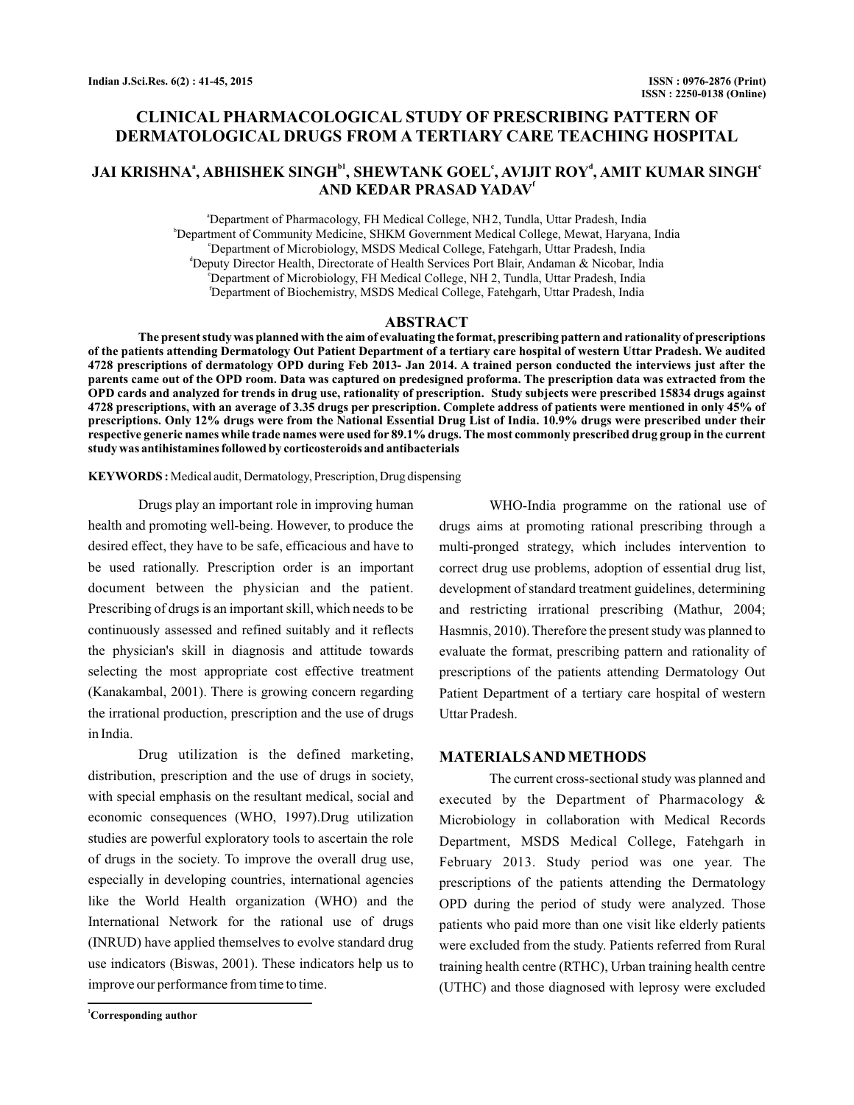# **CLINICAL PHARMACOLOGICAL STUDY OF PRESCRIBING PATTERN OF DERMATOLOGICAL DRUGS FROM A TERTIARY CARE TEACHING HOSPITAL**

## ${\bf JAI~KRISHNA}^{\rm a},$  ABHISHEK SINGH $^{\rm b1}$ , SHEWTANK GOEL', AVIJIT ROY', AMIT KUMAR SINGH' **AND KEDAR PRASAD YADAV f**

a Department of Pharmacology, FH Medical College, NH 2, Tundla, Uttar Pradesh, India b Department of Community Medicine, SHKM Government Medical College, Mewat, Haryana, India c Department of Microbiology, MSDS Medical College, Fatehgarh, Uttar Pradesh, India d Deputy Director Health, Directorate of Health Services Port Blair, Andaman & Nicobar, India e Department of Microbiology, FH Medical College, NH 2, Tundla, Uttar Pradesh, India f Department of Biochemistry, MSDS Medical College, Fatehgarh, Uttar Pradesh, India

### **ABSTRACT**

**The present study was planned with the aim of evaluating the format, prescribing pattern and rationality of prescriptions of the patients attending Dermatology Out Patient Department of a tertiary care hospital of western Uttar Pradesh. We audited 4728 prescriptions of dermatology OPD during Feb 2013- Jan 2014. A trained person conducted the interviews just after the parents came out of the OPD room. Data was captured on predesigned proforma. The prescription data was extracted from the OPD cards and analyzed for trends in drug use, rationality of prescription. Study subjects were prescribed 15834 drugs against 4728 prescriptions, with an average of 3.35 drugs per prescription. Complete address of patients were mentioned in only 45% of prescriptions. Only 12% drugs were from the National Essential Drug List of India. 10.9% drugs were prescribed under their respective generic names while trade names were used for 89.1% drugs. The most commonly prescribed drug group in the current study was antihistamines followed by corticosteroids and antibacterials**

#### KEYWORDS: Medical audit, Dermatology, Prescription, Drug dispensing

Drugs play an important role in improving human health and promoting well-being. However, to produce the desired effect, they have to be safe, efficacious and have to be used rationally. Prescription order is an important document between the physician and the patient. Prescribing of drugs is an important skill, which needs to be continuously assessed and refined suitably and it reflects the physician's skill in diagnosis and attitude towards selecting the most appropriate cost effective treatment (Kanakambal, 2001). There is growing concern regarding the irrational production, prescription and the use of drugs in India.

Drug utilization is the defined marketing, distribution, prescription and the use of drugs in society, with special emphasis on the resultant medical, social and economic consequences (WHO, 1997).Drug utilization studies are powerful exploratory tools to ascertain the role of drugs in the society. To improve the overall drug use, especially in developing countries, international agencies like the World Health organization (WHO) and the International Network for the rational use of drugs (INRUD) have applied themselves to evolve standard drug use indicators (Biswas, 2001). These indicators help us to improve our performance from time to time.

WHO-India programme on the rational use of drugs aims at promoting rational prescribing through a multi-pronged strategy, which includes intervention to correct drug use problems, adoption of essential drug list, development of standard treatment guidelines, determining and restricting irrational prescribing (Mathur, 2004; Hasmnis, 2010). Therefore the present study was planned to evaluate the format, prescribing pattern and rationality of prescriptions of the patients attending Dermatology Out Patient Department of a tertiary care hospital of western Uttar Pradesh.

## **MATERIALSAND METHODS**

The current cross-sectional study was planned and executed by the Department of Pharmacology & Microbiology in collaboration with Medical Records Department, MSDS Medical College, Fatehgarh in February 2013. Study period was one year. The prescriptions of the patients attending the Dermatology OPD during the period of study were analyzed. Those patients who paid more than one visit like elderly patients were excluded from the study. Patients referred from Rural training health centre (RTHC), Urban training health centre (UTHC) and those diagnosed with leprosy were excluded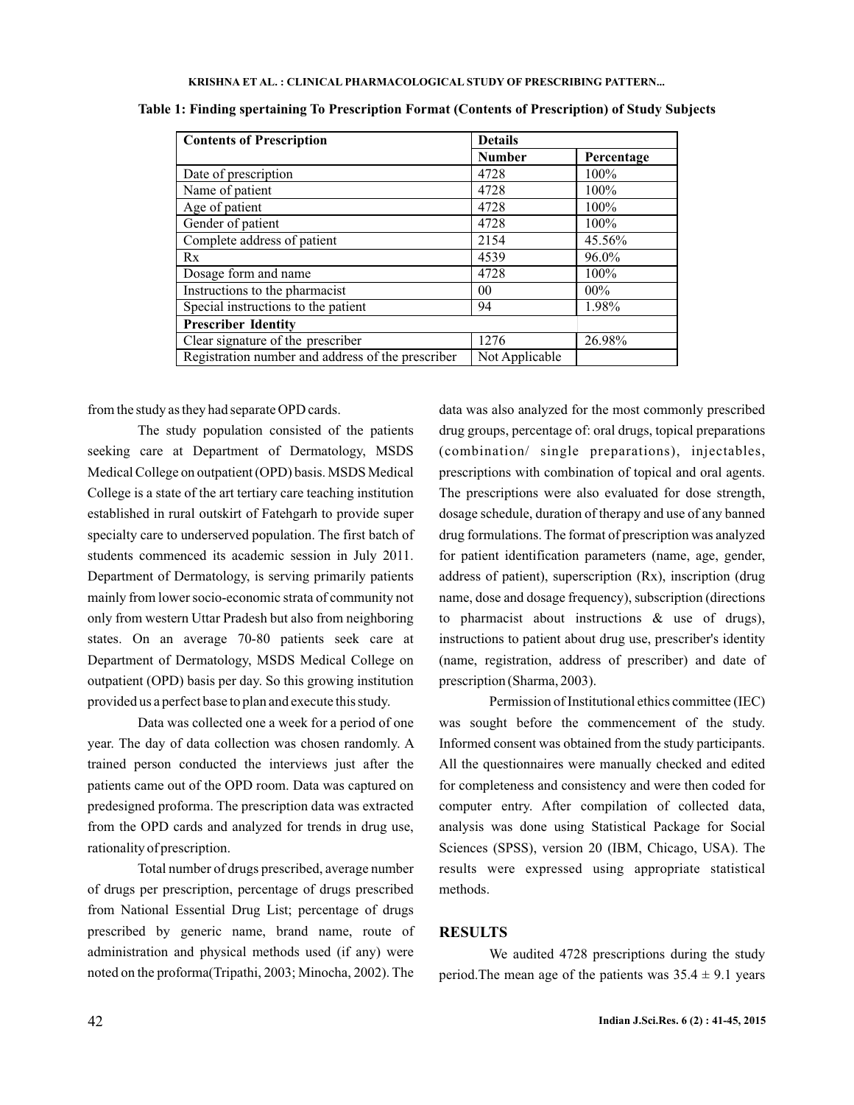#### **KRISHNA ET AL. CLINICAL PHARMACOLOGICAL STUDY OF PRESCRIBING PATTERN... :**

| <b>Contents of Prescription</b>                   | <b>Details</b> |            |  |  |
|---------------------------------------------------|----------------|------------|--|--|
|                                                   | <b>Number</b>  | Percentage |  |  |
| Date of prescription                              | 4728           | 100%       |  |  |
| Name of patient                                   | 4728           | $100\%$    |  |  |
| Age of patient                                    | 4728           | 100%       |  |  |
| Gender of patient                                 | 4728           | 100%       |  |  |
| Complete address of patient                       | 2154           | 45.56%     |  |  |
| Rx                                                | 4539           | 96.0%      |  |  |
| Dosage form and name                              | 4728           | 100%       |  |  |
| Instructions to the pharmacist                    | 0 <sub>0</sub> | $00\%$     |  |  |
| Special instructions to the patient               | 94             | 1.98%      |  |  |
| <b>Prescriber Identity</b>                        |                |            |  |  |
| Clear signature of the prescriber                 | 1276           | 26.98%     |  |  |
| Registration number and address of the prescriber | Not Applicable |            |  |  |

**Table 1: Finding spertaining To Prescription Format (Contents of Prescription) of Study Subjects**

from the study as they had separate OPD cards.

The study population consisted of the patients seeking care at Department of Dermatology, MSDS Medical College on outpatient (OPD) basis. MSDS Medical College is a state of the art tertiary care teaching institution established in rural outskirt of Fatehgarh to provide super specialty care to underserved population. The first batch of students commenced its academic session in July 2011. Department of Dermatology, is serving primarily patients mainly from lower socio-economic strata of community not only from western Uttar Pradesh but also from neighboring states. On an average 70-80 patients seek care at Department of Dermatology, MSDS Medical College on outpatient (OPD) basis per day. So this growing institution provided us a perfect base to plan and execute this study.

Data was collected one a week for a period of one year. The day of data collection was chosen randomly. A trained person conducted the interviews just after the patients came out of the OPD room. Data was captured on predesigned proforma. The prescription data was extracted from the OPD cards and analyzed for trends in drug use, rationality of prescription.

Total number of drugs prescribed, average number of drugs per prescription, percentage of drugs prescribed from National Essential Drug List; percentage of drugs prescribed by generic name, brand name, route of administration and physical methods used (if any) were noted on the proforma(Tripathi, 2003; Minocha, 2002). The data was also analyzed for the most commonly prescribed drug groups, percentage of: oral drugs, topical preparations (combination/ single preparations), injectables, prescriptions with combination of topical and oral agents. The prescriptions were also evaluated for dose strength, dosage schedule, duration of therapy and use of any banned drug formulations. The format of prescription was analyzed for patient identification parameters (name, age, gender, address of patient), superscription (Rx), inscription (drug name, dose and dosage frequency), subscription (directions to pharmacist about instructions & use of drugs), instructions to patient about drug use, prescriber's identity (name, registration, address of prescriber) and date of prescription (Sharma, 2003).

Permission of Institutional ethics committee (IEC) was sought before the commencement of the study. Informed consent was obtained from the study participants. All the questionnaires were manually checked and edited for completeness and consistency and were then coded for computer entry. After compilation of collected data, analysis was done using Statistical Package for Social Sciences (SPSS), version 20 (IBM, Chicago, USA). The results were expressed using appropriate statistical methods.

## **RESULTS**

We audited 4728 prescriptions during the study period. The mean age of the patients was  $35.4 \pm 9.1$  years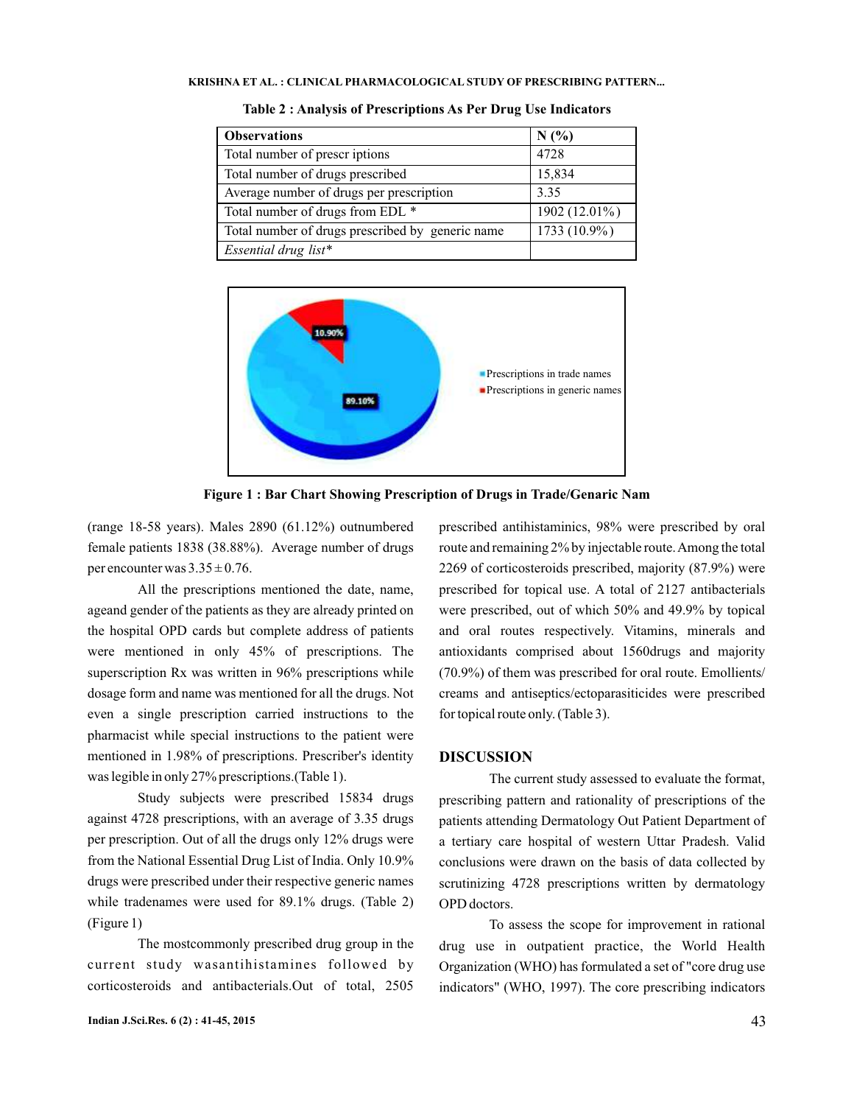| <b>Observations</b>                              | N(%              |  |  |
|--------------------------------------------------|------------------|--|--|
| Total number of prescriptions                    | 4728             |  |  |
| Total number of drugs prescribed                 | 15,834           |  |  |
| Average number of drugs per prescription         | 3.35             |  |  |
| Total number of drugs from EDL *                 | 1902 $(12.01\%)$ |  |  |
| Total number of drugs prescribed by generic name | $1733(10.9\%)$   |  |  |
| Essential drug list*                             |                  |  |  |

**Table 2 : Analysis of Prescriptions As Per Drug Use Indicators**



**Figure 1 : Bar Chart Showing Prescription of Drugs in Trade/Genaric Nam**

(range 18-58 years). Males 2890 (61.12%) outnumbered female patients 1838 (38.88%). Average number of drugs per encounter was  $3.35 \pm 0.76$ .

All the prescriptions mentioned the date, name, ageand gender of the patients as they are already printed on the hospital OPD cards but complete address of patients were mentioned in only 45% of prescriptions. The superscription Rx was written in 96% prescriptions while dosage form and name was mentioned for all the drugs. Not even a single prescription carried instructions to the pharmacist while special instructions to the patient were mentioned in 1.98% of prescriptions. Prescriber's identity was legible in only 27% prescriptions.(Table 1).

Study subjects were prescribed 15834 drugs against 4728 prescriptions, with an average of 3.35 drugs per prescription. Out of all the drugs only 12% drugs were from the National Essential Drug List of India. Only 10.9% drugs were prescribed under their respective generic names while tradenames were used for 89.1% drugs. (Table 2) (Figure 1)

The mostcommonly prescribed drug group in the current study wasantihistamines followed by corticosteroids and antibacterials.Out of total, 2505

prescribed antihistaminics, 98% were prescribed by oral route and remaining 2% by injectable route.Among the total 2269 of corticosteroids prescribed, majority (87.9%) were prescribed for topical use. A total of 2127 antibacterials were prescribed, out of which 50% and 49.9% by topical and oral routes respectively. Vitamins, minerals and antioxidants comprised about 1560drugs and majority (70.9%) of them was prescribed for oral route. Emollients/ creams and antiseptics/ectoparasiticides were prescribed for topical route only. (Table 3).

### **DISCUSSION**

The current study assessed to evaluate the format, prescribing pattern and rationality of prescriptions of the patients attending Dermatology Out Patient Department of a tertiary care hospital of western Uttar Pradesh. Valid conclusions were drawn on the basis of data collected by scrutinizing 4728 prescriptions written by dermatology OPD doctors.

To assess the scope for improvement in rational drug use in outpatient practice, the World Health Organization (WHO) has formulated a set of "core drug use indicators" (WHO, 1997). The core prescribing indicators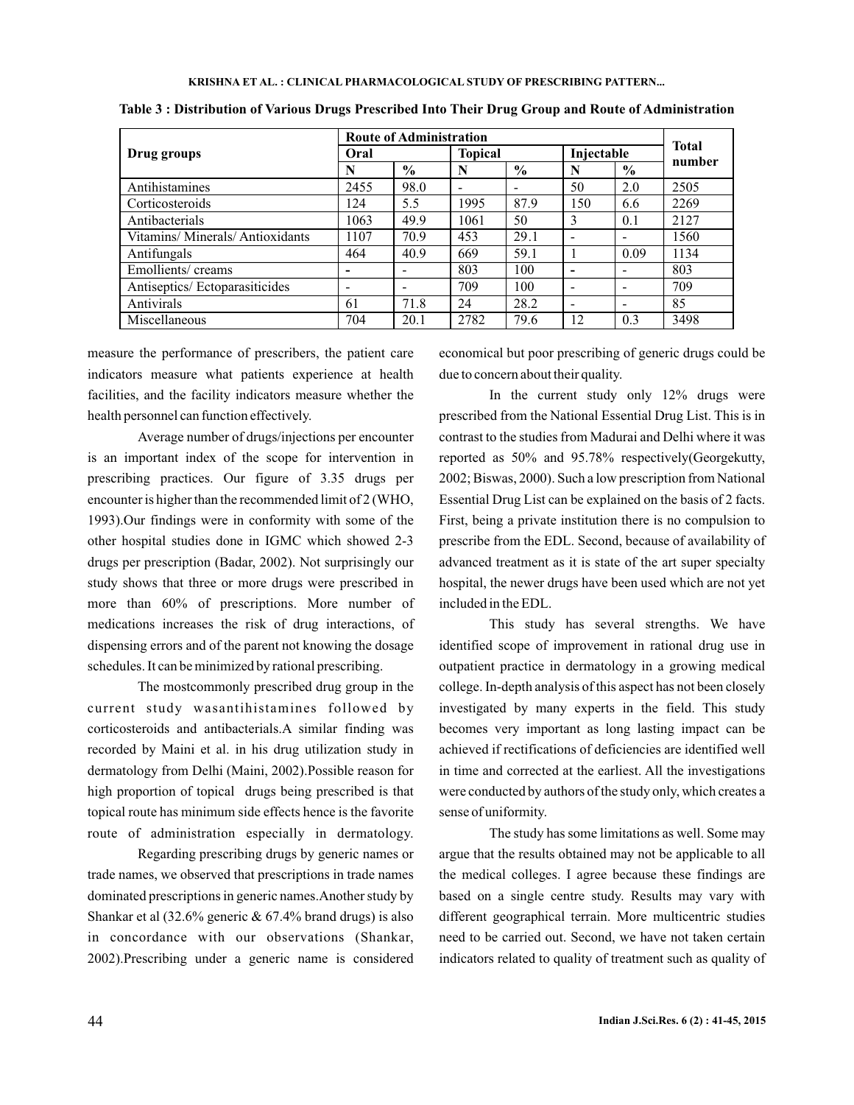|                                | <b>Route of Administration</b> |                          |                |               |                          |      |                        |
|--------------------------------|--------------------------------|--------------------------|----------------|---------------|--------------------------|------|------------------------|
| Drug groups                    | Oral                           |                          | <b>Topical</b> |               | Injectable               |      | <b>Total</b><br>number |
|                                | N                              | $\%$                     | N              | $\frac{0}{0}$ | N                        | $\%$ |                        |
| Antihistamines                 | 2455                           | 98.0                     |                |               | 50                       | 2.0  | 2505                   |
| Corticosteroids                | 124                            | 5.5                      | 1995           | 87.9          | 150                      | 6.6  | 2269                   |
| Antibacterials                 | 1063                           | 49.9                     | 1061           | 50            | 3                        | 0.1  | 2127                   |
| Vitamins/Minerals/Antioxidants | 1107                           | 70.9                     | 453            | 29.1          |                          |      | 1560                   |
| Antifungals                    | 464                            | 40.9                     | 669            | 59.1          |                          | 0.09 | 1134                   |
| Emollients/creams              | -                              |                          | 803            | 100           | $\overline{\phantom{0}}$ | -    | 803                    |
| Antiseptics/Ectoparasiticides  | $\overline{\phantom{a}}$       | $\overline{\phantom{a}}$ | 709            | 100           | $\overline{\phantom{a}}$ | -    | 709                    |
| Antivirals                     | 61                             | 71.8                     | 24             | 28.2          |                          | -    | 85                     |
| Miscellaneous                  | 704                            | 20.1                     | 2782           | 79.6          | 12                       | 0.3  | 3498                   |

**Table 3 : Distribution of Various Drugs Prescribed Into Their Drug Group and Route of Administration**

measure the performance of prescribers, the patient care indicators measure what patients experience at health facilities, and the facility indicators measure whether the health personnel can function effectively.

Average number of drugs/injections per encounter is an important index of the scope for intervention in prescribing practices. Our figure of 3.35 drugs per encounter is higher than the recommended limit of 2 (WHO, 1993).Our findings were in conformity with some of the other hospital studies done in IGMC which showed 2-3 drugs per prescription (Badar, 2002). Not surprisingly our study shows that three or more drugs were prescribed in more than 60% of prescriptions. More number of medications increases the risk of drug interactions, of dispensing errors and of the parent not knowing the dosage schedules. It can be minimized by rational prescribing.

The mostcommonly prescribed drug group in the current study wasantihistamines followed by corticosteroids and antibacterials.A similar finding was recorded by Maini et al. in his drug utilization study in dermatology from Delhi (Maini, 2002).Possible reason for high proportion of topical drugs being prescribed is that topical route has minimum side effects hence is the favorite route of administration especially in dermatology.

Regarding prescribing drugs by generic names or trade names, we observed that prescriptions in trade names dominated prescriptions in generic names.Another study by Shankar et al (32.6% generic & 67.4% brand drugs) is also in concordance with our observations (Shankar, 2002).Prescribing under a generic name is considered economical but poor prescribing of generic drugs could be due to concern about their quality.

In the current study only 12% drugs were prescribed from the National Essential Drug List. This is in contrast to the studies from Madurai and Delhi where it was reported as 50% and 95.78% respectively(Georgekutty, 2002; Biswas, 2000). Such a low prescription from National Essential Drug List can be explained on the basis of 2 facts. First, being a private institution there is no compulsion to prescribe from the EDL. Second, because of availability of advanced treatment as it is state of the art super specialty hospital, the newer drugs have been used which are not yet included in the EDL.

This study has several strengths. We have identified scope of improvement in rational drug use in outpatient practice in dermatology in a growing medical college. In-depth analysis of this aspect has not been closely investigated by many experts in the field. This study becomes very important as long lasting impact can be achieved if rectifications of deficiencies are identified well in time and corrected at the earliest. All the investigations were conducted by authors of the study only, which creates a sense of uniformity.

The study has some limitations as well. Some may argue that the results obtained may not be applicable to all the medical colleges. I agree because these findings are based on a single centre study. Results may vary with different geographical terrain. More multicentric studies need to be carried out. Second, we have not taken certain indicators related to quality of treatment such as quality of